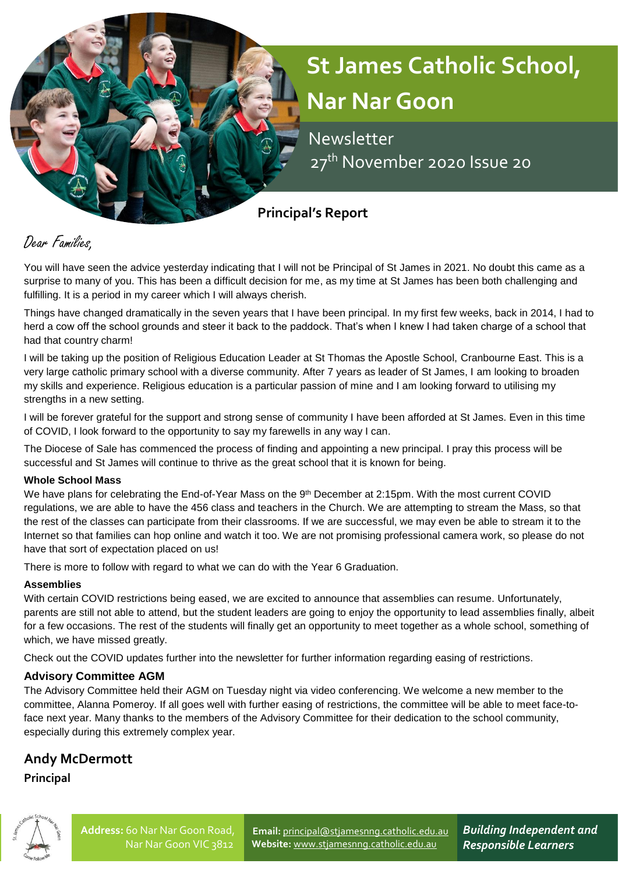# **St James Catholic School, Nar Nar Goon**

 Newsletter 27<sup>th</sup> November 2020 Issue 20

# **Principal's Report**

# Dear Families,

You will have seen the advice yesterday indicating that I will not be Principal of St James in 2021. No doubt this came as a surprise to many of you. This has been a difficult decision for me, as my time at St James has been both challenging and fulfilling. It is a period in my career which I will always cherish.

Things have changed dramatically in the seven years that I have been principal. In my first few weeks, back in 2014, I had to herd a cow off the school grounds and steer it back to the paddock. That's when I knew I had taken charge of a school that had that country charm!

I will be taking up the position of Religious Education Leader at St Thomas the Apostle School, Cranbourne East. This is a very large catholic primary school with a diverse community. After 7 years as leader of St James, I am looking to broaden my skills and experience. Religious education is a particular passion of mine and I am looking forward to utilising my strengths in a new setting.

I will be forever grateful for the support and strong sense of community I have been afforded at St James. Even in this time of COVID, I look forward to the opportunity to say my farewells in any way I can.

The Diocese of Sale has commenced the process of finding and appointing a new principal. I pray this process will be successful and St James will continue to thrive as the great school that it is known for being.

#### **Whole School Mass**

We have plans for celebrating the End-of-Year Mass on the 9<sup>th</sup> December at 2:15pm. With the most current COVID regulations, we are able to have the 456 class and teachers in the Church. We are attempting to stream the Mass, so that the rest of the classes can participate from their classrooms. If we are successful, we may even be able to stream it to the Internet so that families can hop online and watch it too. We are not promising professional camera work, so please do not have that sort of expectation placed on us!

There is more to follow with regard to what we can do with the Year 6 Graduation.

## **Assemblies**

With certain COVID restrictions being eased, we are excited to announce that assemblies can resume. Unfortunately, parents are still not able to attend, but the student leaders are going to enjoy the opportunity to lead assemblies finally, albeit for a few occasions. The rest of the students will finally get an opportunity to meet together as a whole school, something of which, we have missed greatly.

Check out the COVID updates further into the newsletter for further information regarding easing of restrictions.

## **Advisory Committee AGM**

The Advisory Committee held their AGM on Tuesday night via video conferencing. We welcome a new member to the committee, Alanna Pomeroy. If all goes well with further easing of restrictions, the committee will be able to meet face-toface next year. Many thanks to the members of the Advisory Committee for their dedication to the school community, especially during this extremely complex year.

## **Andy McDermott**

**Principal**



**Email:** [principal@stjamesnng.catholic.edu.au](mailto:principal@stjamesnng.catholic.edu.au) **Website:** [www.stjamesnng.catholic.edu.au](http://www.stjamesnng.catholic.edu.au/)

*Building Independent and Responsible Learners*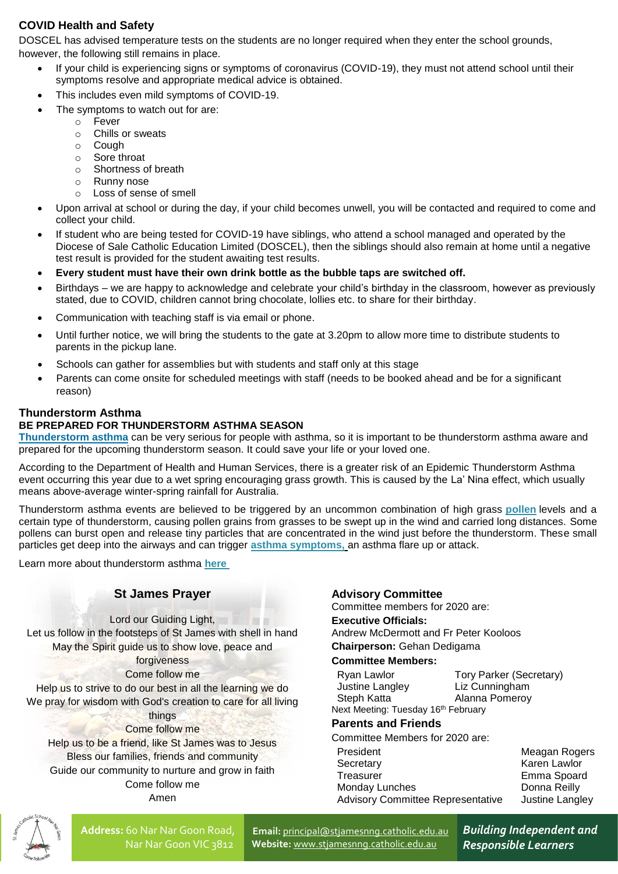## **COVID Health and Safety**

DOSCEL has advised temperature tests on the students are no longer required when they enter the school grounds, however, the following still remains in place.

- If your child is experiencing signs or symptoms of coronavirus (COVID-19), they must not attend school until their symptoms resolve and appropriate medical advice is obtained.
- This includes even mild symptoms of COVID-19.
- The symptoms to watch out for are:
	- o Fever
	- o Chills or sweats
	- o Cough
	- o Sore throat
	- o Shortness of breath
	- o Runny nose
	- o Loss of sense of smell
- Upon arrival at school or during the day, if your child becomes unwell, you will be contacted and required to come and collect your child.
- If student who are being tested for COVID-19 have siblings, who attend a school managed and operated by the Diocese of Sale Catholic Education Limited (DOSCEL), then the siblings should also remain at home until a negative test result is provided for the student awaiting test results.
- **Every student must have their own drink bottle as the bubble taps are switched off.**
- Birthdays we are happy to acknowledge and celebrate your child's birthday in the classroom, however as previously stated, due to COVID, children cannot bring chocolate, lollies etc. to share for their birthday.
- Communication with teaching staff is via email or phone.
- Until further notice, we will bring the students to the gate at 3.20pm to allow more time to distribute students to parents in the pickup lane.
- Schools can gather for assemblies but with students and staff only at this stage
- Parents can come onsite for scheduled meetings with staff (needs to be booked ahead and be for a significant reason)

#### **Thunderstorm Asthma**

#### **BE PREPARED FOR THUNDERSTORM ASTHMA SEASON**

**[Thunderstorm asthma](https://i7.t.hubspotemail.net/e2t/tc/VWVjyc44ftzZW7Zv9FM6J_JSCVfQRxk4jv6tjN4Tr4NB3p_9rV1-WJV7CgCm-W74B5S-4klTyvW4PyJ274hfNLGVfnw4Q8lTC-GW2d6JMy7nkrssW7rZ9d49f2sR_W4YHT6l4bRMDPW6YSmxL5DpGW1W8QQ2T36tF2NZW6bNnTK1V44L5W5XpzLD8kdC9-W6XBjmG9fc539W50CSHV35X9ZJW4QbMmz8bgybwVlG-M59hv5xlN6nwKPjDlX88W7Y8h4L1chh-SW7gYps62Y8nVjW99JsH-1vJ-4xW7QcNfm7_YnJMW75cbTH1tynlDW1RF5zX7P2nNzVq5HPs2w3F6vW2Sjdx21zLtJFVD2YWW17CynnW4VPQWV1YBHwrN5Wf0HDzXS0S31gb1)** can be very serious for people with asthma, so it is important to be thunderstorm asthma aware and prepared for the upcoming thunderstorm season. It could save your life or your loved one.

According to the Department of Health and Human Services, there is a greater risk of an Epidemic Thunderstorm Asthma event occurring this year due to a wet spring encouraging grass growth. This is caused by the La' Nina effect, which usually means above-average winter-spring rainfall for Australia.

Thunderstorm asthma events are believed to be triggered by an uncommon combination of high grass **[pollen](https://i7.t.hubspotemail.net/e2t/tc/VX1d_23sJ0WnVxXWt85cBrSTW20x2Jc4jCP8yN4Rsygp3p_9rV1-WJV7CgYGGW5Qx0X-4HZfgkW12Lgzp8pWRtYW1l9sH08TPqHXW5gl1Vz47tnCyW8CRJfF7TnY4bW6qtM-j2py-dmN3XL8p2t7s51W4Mk0-B6JNcB0W2CQp656FgW14VylJMz4KjqhMW53Lxx52j5SwQN6Gxkz6qTR7rW8d-f0k8w6CCNW8hQK2z7mmVPKW7wzT7V2qXcr9W2H4kYN3V2rDsW3KV7Qh5dKq1VW6TY95j4C6jzxW6FSq2K7y66gJW1MmWF871QRkFN9bwV2V9GMBzVf7-8r6mNDf-W3pKvDG2FLrPlW6tWb576dBchWW9lrdP24j0v1VN13MQKRlCDts3nzD1)** levels and a certain type of thunderstorm, causing pollen grains from grasses to be swept up in the wind and carried long distances. Some pollens can burst open and release tiny particles that are concentrated in the wind just before the thunderstorm. These small particles get deep into the airways and can trigger **[asthma symptoms,](https://i7.t.hubspotemail.net/e2t/tc/VX1d_23sJ0WnVxXWt85cBrSTW20x2Jc4jCP8yN4RsygJ3p_9LV1-WJV7CgQvMW8YgVv27nSCCMW5VZR4z2t6tvQW8QlYn-7GDcNrW2HCvY45WcxbTW19wh_j5TFW_GVF1z1R1SHSV_W1H_5hN89lxDyW4hXGJN25mnfBW7xNGv08QJpC3VC5lzh4zf_g9VZW78S6gG6wjW6T52-v8N8nbTW1Mldyg6fx5tSW8KQTD-3WSlrxW9ggRWS9lbwSkW19YJ4N8xj6ShN6BrxM1n32BZW6shJyp6Y0dB4W6NRY1H8BXwcpN2Hq9qSYJDsmW5FCDqg9gKxyQW3Gkyw18Xv73JW1Cfmmn5Wl-WzV9vhhr1Ndw2hW6ZwhVy7pSt8dW7z1mK35SNRVDVhyN-B3WfmpdW85rJrh4_2QDn334F1)** an asthma flare up or attack.

Learn more about thunderstorm asthma **[here](https://i7.t.hubspotemail.net/e2t/tc/VX1d_23sJ0WnVxXWt85cBrSTW20x2Jc4jCP8yN4Rsygp3p_9rV1-WJV7CgY__W5J4MBx5sLsKhW785F2D6l8JBjW7-X2Wg3K3B9SW5RsYqc4T1VqHW3gzJKJ1rd_fQW8_xrrZ7_QT2tW1xzX_n47cMDtW19fS0J1tcTYBW6Lcxzj1NBRRnW6vQwGY8BYyT9W7Wykf92Qm7h1W3Pjl5s9fwMLTW27td-N23mfWvW1zWZtk81NBLgW2Lt3Tv97yjB6W2dVqR_8HDV3WW7-dGbJ92QKlyW5jnGl091By5jW3yTFvY63DbpMN38ypG8-J9mgW2ZlllT8l_zrtVg0VDl86d1tTVmY3Fr3CxhSyW6Q7CJ25m7GTcW16SgWs2Y1BrrW5wHCR07VRkbP3fBL1)**

#### **St James Prayer**

Lord our Guiding Light, The Contract of the Second Let us follow in the footsteps of St James with shell in hand May the Spirit guide us to show love, peace and forgiveness Come follow me Help us to strive to do our best in all the learning we do We pray for wisdom with God's creation to care for all living things Come follow me Help us to be a friend, like St James was to Jesus Bless our families, friends and community Guide our community to nurture and grow in faith Come follow me

Amen

#### **Advisory Committee**

Committee members for 2020 are:

#### **Executive Officials:**

Andrew McDermott and Fr Peter Kooloos **Chairperson:** Gehan Dedigama

#### **Committee Members:**

| Ryan Lawlor                                     | <b>Tory Parker (Secretary)</b> |
|-------------------------------------------------|--------------------------------|
| Justine Langley                                 | Liz Cunningham                 |
| Steph Katta                                     | Alanna Pomeroy                 |
| Next Meeting: Tuesday 16 <sup>th</sup> February |                                |

#### **Parents and Friends**

Committee Members for 2020 are: President Meagan Rogers Secretary **Karen Lawlor** Treasurer **Emma** Spoard Monday Lunches Donna Reilly Advisory Committee Representative Justine Langley



**Address:** 60 Nar Nar Goon Road, Nar Nar Goon VIC 3812

**Email:** [principal@stjamesnng.catholic.edu.au](mailto:principal@stjamesnng.catholic.edu.au) **Website:** [www.stjamesnng.catholic.edu.au](http://www.stjamesnng.catholic.edu.au/)

*Building Independent and Responsible Learners*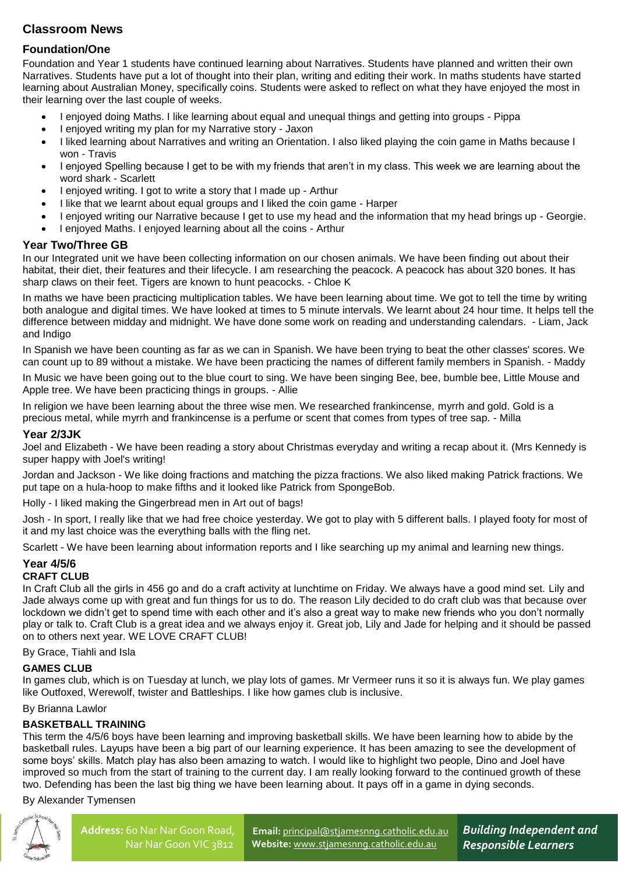## **Classroom News**

## **Foundation/One**

Foundation and Year 1 students have continued learning about Narratives. Students have planned and written their own Narratives. Students have put a lot of thought into their plan, writing and editing their work. In maths students have started learning about Australian Money, specifically coins. Students were asked to reflect on what they have enjoyed the most in their learning over the last couple of weeks.

- I enjoyed doing Maths. I like learning about equal and unequal things and getting into groups Pippa
- I enjoyed writing my plan for my Narrative story Jaxon
- I liked learning about Narratives and writing an Orientation. I also liked playing the coin game in Maths because I won - Travis
- I enjoyed Spelling because I get to be with my friends that aren't in my class. This week we are learning about the word shark - Scarlett
- I enjoyed writing. I got to write a story that I made up Arthur
- I like that we learnt about equal groups and I liked the coin game Harper
- I enjoyed writing our Narrative because I get to use my head and the information that my head brings up Georgie.
- I enjoyed Maths. I enjoyed learning about all the coins Arthur

#### **Year Two/Three GB**

In our Integrated unit we have been collecting information on our chosen animals. We have been finding out about their habitat, their diet, their features and their lifecycle. I am researching the peacock. A peacock has about 320 bones. It has sharp claws on their feet. Tigers are known to hunt peacocks. - Chloe K

In maths we have been practicing multiplication tables. We have been learning about time. We got to tell the time by writing both analogue and digital times. We have looked at times to 5 minute intervals. We learnt about 24 hour time. It helps tell the difference between midday and midnight. We have done some work on reading and understanding calendars. - Liam, Jack and Indigo

In Spanish we have been counting as far as we can in Spanish. We have been trying to beat the other classes' scores. We can count up to 89 without a mistake. We have been practicing the names of different family members in Spanish. - Maddy

In Music we have been going out to the blue court to sing. We have been singing Bee, bee, bumble bee, Little Mouse and Apple tree. We have been practicing things in groups. - Allie

In religion we have been learning about the three wise men. We researched frankincense, myrrh and gold. Gold is a precious metal, while myrrh and frankincense is a perfume or scent that comes from types of tree sap. - Milla

#### **Year 2/3JK**

Joel and Elizabeth - We have been reading a story about Christmas everyday and writing a recap about it. (Mrs Kennedy is super happy with Joel's writing!

Jordan and Jackson - We like doing fractions and matching the pizza fractions. We also liked making Patrick fractions. We put tape on a hula-hoop to make fifths and it looked like Patrick from SpongeBob.

Holly - I liked making the Gingerbread men in Art out of bags!

Josh - In sport, I really like that we had free choice yesterday. We got to play with 5 different balls. I played footy for most of it and my last choice was the everything balls with the fling net.

Scarlett - We have been learning about information reports and I like searching up my animal and learning new things.

# **Year 4/5/6**

#### **CRAFT CLUB**

In Craft Club all the girls in 456 go and do a craft activity at lunchtime on Friday. We always have a good mind set. Lily and Jade always come up with great and fun things for us to do. The reason Lily decided to do craft club was that because over lockdown we didn't get to spend time with each other and it's also a great way to make new friends who you don't normally play or talk to. Craft Club is a great idea and we always enjoy it. Great job, Lily and Jade for helping and it should be passed on to others next year. WE LOVE CRAFT CLUB!

By Grace, Tiahli and Isla

#### **GAMES CLUB**

In games club, which is on Tuesday at lunch, we play lots of games. Mr Vermeer runs it so it is always fun. We play games like Outfoxed, Werewolf, twister and Battleships. I like how games club is inclusive.

By Brianna Lawlor

#### **BASKETBALL TRAINING**

This term the 4/5/6 boys have been learning and improving basketball skills. We have been learning how to abide by the basketball rules. Layups have been a big part of our learning experience. It has been amazing to see the development of some boys' skills. Match play has also been amazing to watch. I would like to highlight two people, Dino and Joel have improved so much from the start of training to the current day. I am really looking forward to the continued growth of these two. Defending has been the last big thing we have been learning about. It pays off in a game in dying seconds.

By Alexander Tymensen



**Email:** [principal@stjamesnng.catholic.edu.au](mailto:principal@stjamesnng.catholic.edu.au) **Website:** [www.stjamesnng.catholic.edu.au](http://www.stjamesnng.catholic.edu.au/)

*Building Independent and Responsible Learners*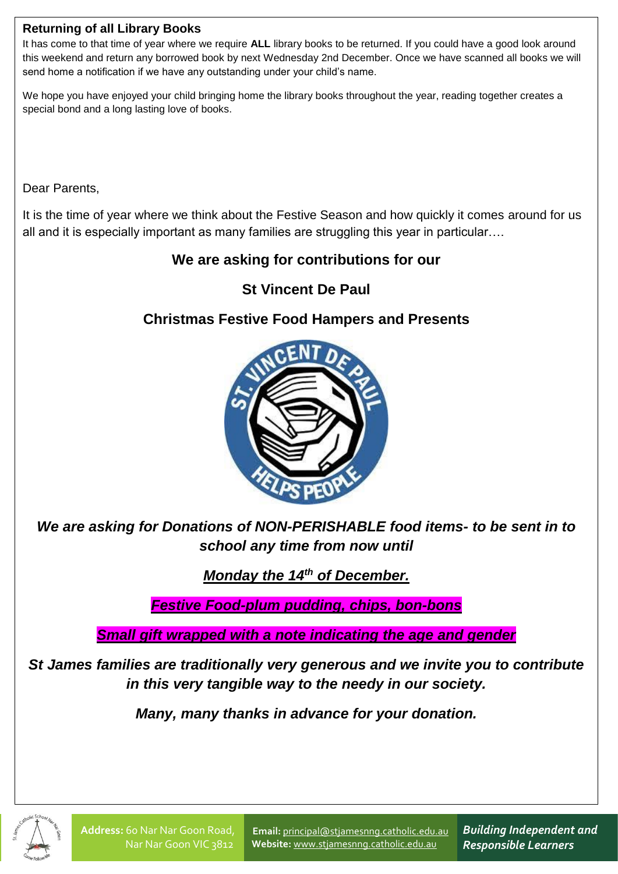## **Returning of all Library Books**

It has come to that time of year where we require **ALL** library books to be returned. If you could have a good look around this weekend and return any borrowed book by next Wednesday 2nd December. Once we have scanned all books we will send home a notification if we have any outstanding under your child's name.

We hope you have enjoyed your child bringing home the library books throughout the year, reading together creates a special bond and a long lasting love of books.

Dear Parents,

It is the time of year where we think about the Festive Season and how quickly it comes around for us all and it is especially important as many families are struggling this year in particular….

# **We are asking for contributions for our**

# **St Vincent De Paul**

# **Christmas Festive Food Hampers and Presents**



*We are asking for Donations of NON-PERISHABLE food items- to be sent in to school any time from now until* 

*Monday the 14<sup>th</sup> of December.* 

*Festive Food-plum pudding, chips, bon-bons*

*Small gift wrapped with a note indicating the age and gender*

*St James families are traditionally very generous and we invite you to contribute in this very tangible way to the needy in our society.*

*Many, many thanks in advance for your donation.*



**Email:** [principal@stjamesnng.catholic.edu.au](mailto:principal@stjamesnng.catholic.edu.au) **Website:** [www.stjamesnng.catholic.edu.au](http://www.stjamesnng.catholic.edu.au/)